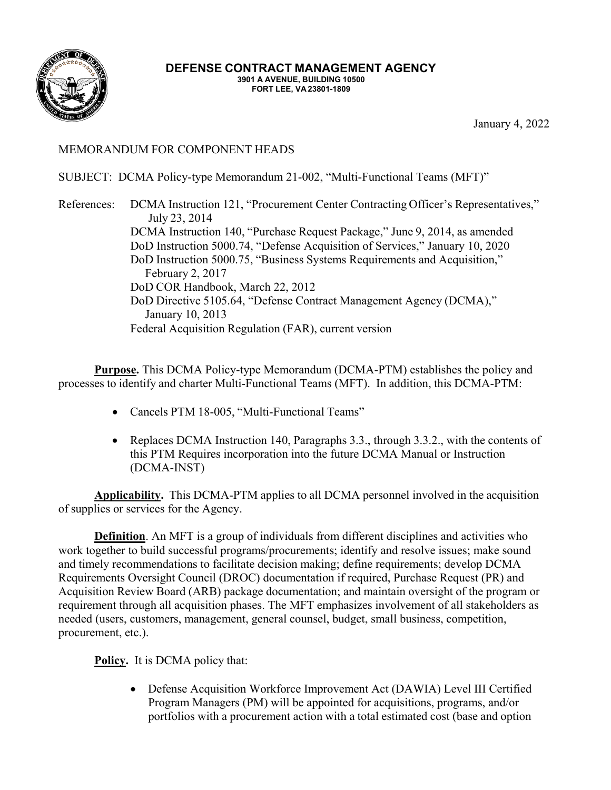

January 4, 2022

## MEMORANDUM FOR COMPONENT HEADS

SUBJECT: DCMA Policy-type Memorandum 21-002, "Multi-Functional Teams (MFT)"

 DCMA Instruction 140, "Purchase Request Package," June 9, 2014, as amended DoD COR Handbook, March 22, 2012 Federal Acquisition Regulation (FAR), current version References: DCMA Instruction 121, "Procurement Center Contracting Officer's Representatives," July 23, 2014 DoD Instruction 5000.74, "Defense Acquisition of Services," January 10, 2020 DoD Instruction 5000.75, "Business Systems Requirements and Acquisition," February 2, 2017 DoD Directive 5105.64, "Defense Contract Management Agency (DCMA)," January 10, 2013

**Purpose.** This DCMA Policy-type Memorandum (DCMA-PTM) establishes the policy and processes to identify and charter Multi-Functional Teams (MFT). In addition, this DCMA-PTM:

- Cancels PTM 18-005, "Multi-Functional Teams"
- • Replaces DCMA Instruction 140, Paragraphs 3.3., through 3.3.2., with the contents of this PTM Requires incorporation into the future DCMA Manual or Instruction (DCMA-INST)

**Applicability.** This DCMA-PTM applies to all DCMA personnel involved in the acquisition of supplies or services for the Agency.

**Definition**. An MFT is a group of individuals from different disciplines and activities who work together to build successful programs/procurements; identify and resolve issues; make sound and timely recommendations to facilitate decision making; define requirements; develop DCMA Requirements Oversight Council (DROC) documentation if required, Purchase Request (PR) and Acquisition Review Board (ARB) package documentation; and maintain oversight of the program or requirement through all acquisition phases. The MFT emphasizes involvement of all stakeholders as needed (users, customers, management, general counsel, budget, small business, competition, procurement, etc.).

**Policy.** It is DCMA policy that:

 portfolios with a procurement action with a total estimated cost (base and option • Defense Acquisition Workforce Improvement Act (DAWIA) Level III Certified Program Managers (PM) will be appointed for acquisitions, programs, and/or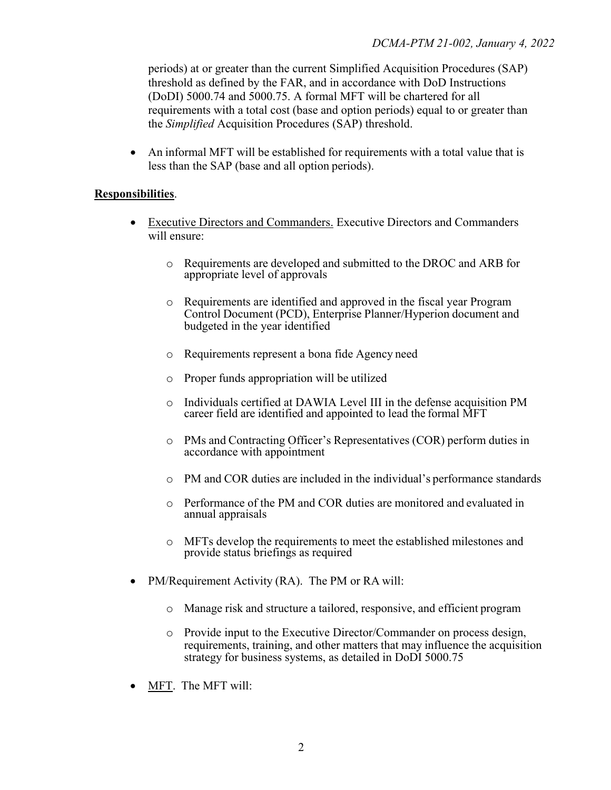periods) at or greater than the current Simplified Acquisition Procedures (SAP) requirements with a total cost (base and option periods) equal to or greater than threshold as defined by the FAR, and in accordance with DoD Instructions (DoDI) 5000.74 and 5000.75. A formal MFT will be chartered for all the *Simplified* Acquisition Procedures (SAP) threshold.

• An informal MFT will be established for requirements with a total value that is less than the SAP (base and all option periods).

## **Responsibilities**.

- Executive Directors and Commanders. Executive Directors and Commanders will ensure:
	- o Requirements are developed and submitted to the DROC and ARB for appropriate level of approvals
	- Control Document (PCD), Enterprise Planner/Hyperion document and budgeted in the year identified o Requirements are identified and approved in the fiscal year Program
	- o Requirements represent a bona fide Agency need
	- o Proper funds appropriation will be utilized
	- career field are identified and appointed to lead the formal MFT o Individuals certified at DAWIA Level III in the defense acquisition PM
	- o PMs and Contracting Officer's Representatives (COR) perform duties in accordance with appointment
	- o PM and COR duties are included in the individual's performance standards
	- o Performance of the PM and COR duties are monitored and evaluated in annual appraisals
	- o MFTs develop the requirements to meet the established milestones and provide status briefings as required
- • PM/Requirement Activity (RA). The PM or RA will:
	- o Manage risk and structure a tailored, responsive, and efficient program
	- requirements, training, and other matters that may influence the acquisition strategy for business systems, as detailed in DoDI 5000.75 o Provide input to the Executive Director/Commander on process design,
- MFT. The MFT will: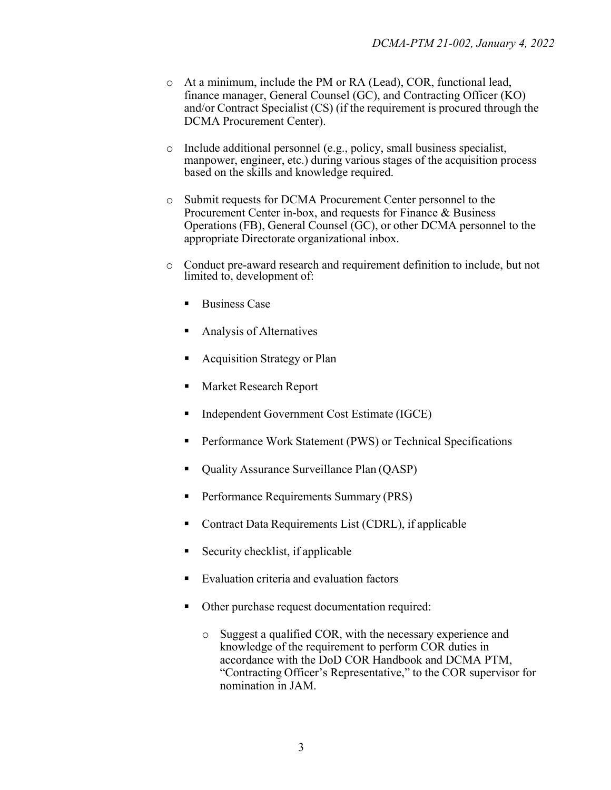- and/or Contract Specialist (CS) (if the requirement is procured through the o At a minimum, include the PM or RA (Lead), COR, functional lead, finance manager, General Counsel (GC), and Contracting Officer (KO) DCMA Procurement Center).
- manpower, engineer, etc.) during various stages of the acquisition process based on the skills and knowledge required. o Include additional personnel (e.g., policy, small business specialist,
- o Submit requests for DCMA Procurement Center personnel to the Operations (FB), General Counsel (GC), or other DCMA personnel to the appropriate Directorate organizational inbox. Procurement Center in-box, and requests for Finance & Business
- limited to, development of: o Conduct pre-award research and requirement definition to include, but not
	- **Business Case**
	- **Analysis of Alternatives**
	- **Acquisition Strategy or Plan**
	- **Market Research Report**
	- **Independent Government Cost Estimate (IGCE)**
	- **Performance Work Statement (PWS) or Technical Specifications**
	- Quality Assurance Surveillance Plan (QASP)
	- **Performance Requirements Summary (PRS)**
	- **Contract Data Requirements List (CDRL), if applicable**
	- Security checklist, if applicable
	- **Evaluation criteria and evaluation factors**
	- Other purchase request documentation required:
		- knowledge of the requirement to perform COR duties in "Contracting Officer's Representative," to the COR supervisor for nomination in JAM. o Suggest a qualified COR, with the necessary experience and accordance with the DoD COR Handbook and DCMA PTM,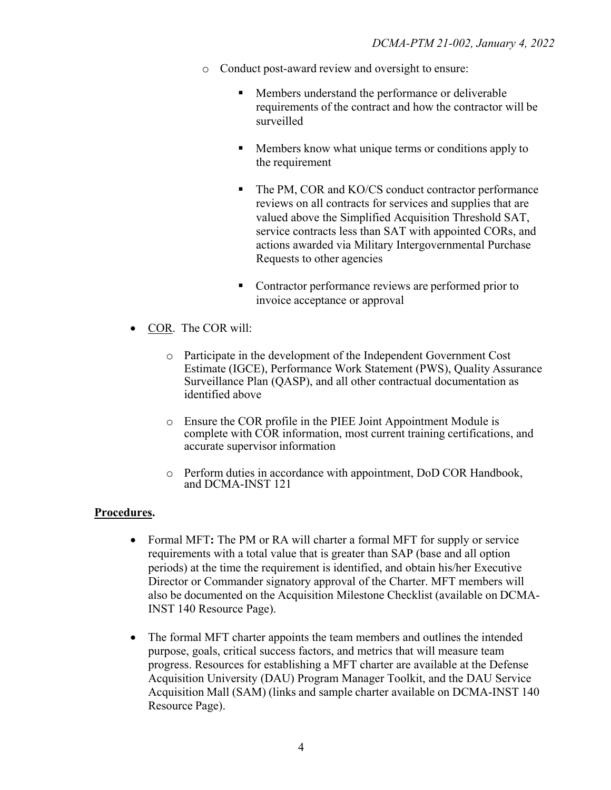- o Conduct post-award review and oversight to ensure:
	- requirements of the contract and how the contractor will be **Members understand the performance or deliverable** surveilled
	- **Members know what unique terms or conditions apply to** the requirement
	- The PM, COR and KO/CS conduct contractor performance Requests to other agencies reviews on all contracts for services and supplies that are valued above the Simplified Acquisition Threshold SAT, service contracts less than SAT with appointed CORs, and actions awarded via Military Intergovernmental Purchase
	- **Contractor performance reviews are performed prior to** invoice acceptance or approval
- COR. The COR will:
	- Estimate (IGCE), Performance Work Statement (PWS), Quality Assurance identified above o Participate in the development of the Independent Government Cost Surveillance Plan (QASP), and all other contractual documentation as
	- complete with COR information, most current training certifications, and accurate supervisor information o Ensure the COR profile in the PIEE Joint Appointment Module is
	- o Perform duties in accordance with appointment, DoD COR Handbook, and DCMA-INST 121

## **Procedures.**

- Formal MFT**:** The PM or RA will charter a formal MFT for supply or service requirements with a total value that is greater than SAP (base and all option periods) at the time the requirement is identified, and obtain his/her Executive Director or Commander signatory approval of the Charter. MFT members will also be documented on the Acquisition Milestone Checklist (available on DCMA-INST 140 Resource Page).
- Acquisition University (DAU) Program Manager Toolkit, and the DAU Service Acquisition Mall (SAM) (links and sample charter available on DCMA-INST 140 Resource Page). • The formal MFT charter appoints the team members and outlines the intended purpose, goals, critical success factors, and metrics that will measure team progress. Resources for establishing a MFT charter are available at the Defense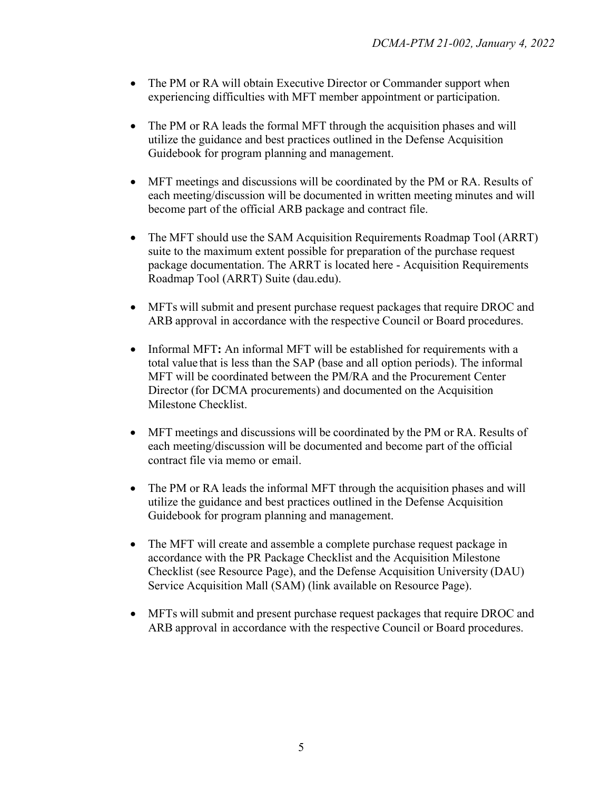- • The PM or RA will obtain Executive Director or Commander support when experiencing difficulties with MFT member appointment or participation.
- The PM or RA leads the formal MFT through the acquisition phases and will Guidebook for program planning and management. utilize the guidance and best practices outlined in the Defense Acquisition
- each meeting/discussion will be documented in written meeting minutes and will become part of the official ARB package and contract file. • MFT meetings and discussions will be coordinated by the PM or RA. Results of
- • The MFT should use the SAM Acquisition Requirements Roadmap Tool (ARRT) suite to the maximum extent possible for preparation of the purchase request Roadmap Tool (ARRT) Suite (dau.edu). package documentation. The ARRT is located here - Acquisition Requirements
- • MFTs will submit and present purchase request packages that require DROC and ARB approval in accordance with the respective Council or Board procedures.
- total value that is less than the SAP (base and all option periods). The informal Director (for DCMA procurements) and documented on the Acquisition Milestone Checklist. • Informal MFT: An informal MFT will be established for requirements with a MFT will be coordinated between the PM/RA and the Procurement Center
- • MFT meetings and discussions will be coordinated by the PM or RA. Results of contract file via memo or email. each meeting/discussion will be documented and become part of the official
- • The PM or RA leads the informal MFT through the acquisition phases and will Guidebook for program planning and management. utilize the guidance and best practices outlined in the Defense Acquisition
- Checklist (see Resource Page), and the Defense Acquisition University (DAU) Service Acquisition Mall (SAM) (link available on Resource Page). • The MFT will create and assemble a complete purchase request package in accordance with the PR Package Checklist and the Acquisition Milestone
- • MFTs will submit and present purchase request packages that require DROC and ARB approval in accordance with the respective Council or Board procedures.